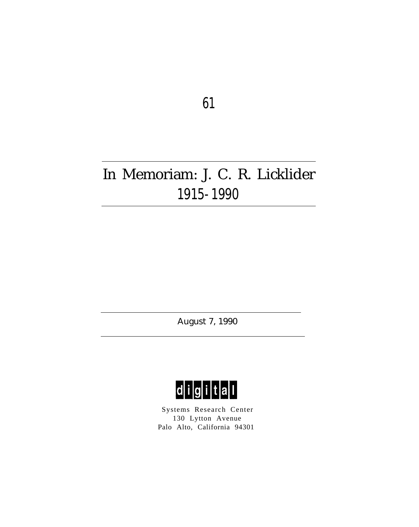# 61

# In Memoriam: J. C. R. Licklider 1915-1990

August 7, 1990



Systems Research Center 130 Lytton Avenue Palo Alto, California 94301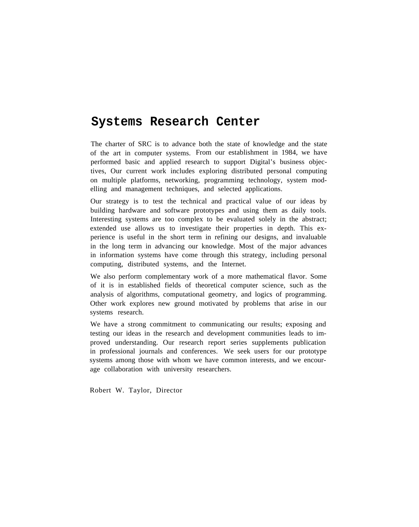# **Systems Research Center**

The charter of SRC is to advance both the state of knowledge and the state of the art in computer systems. From our establishment in 1984, we have performed basic and applied research to support Digital's business objectives, Our current work includes exploring distributed personal computing on multiple platforms, networking, programming technology, system modelling and management techniques, and selected applications.

Our strategy is to test the technical and practical value of our ideas by building hardware and software prototypes and using them as daily tools. Interesting systems are too complex to be evaluated solely in the abstract; extended use allows us to investigate their properties in depth. This experience is useful in the short term in refining our designs, and invaluable in the long term in advancing our knowledge. Most of the major advances in information systems have come through this strategy, including personal computing, distributed systems, and the Internet.

We also perform complementary work of a more mathematical flavor. Some of it is in established fields of theoretical computer science, such as the analysis of algorithms, computational geometry, and logics of programming. Other work explores new ground motivated by problems that arise in our systems research.

We have a strong commitment to communicating our results; exposing and testing our ideas in the research and development communities leads to improved understanding. Our research report series supplements publication in professional journals and conferences. We seek users for our prototype systems among those with whom we have common interests, and we encourage collaboration with university researchers.

Robert W. Taylor, Director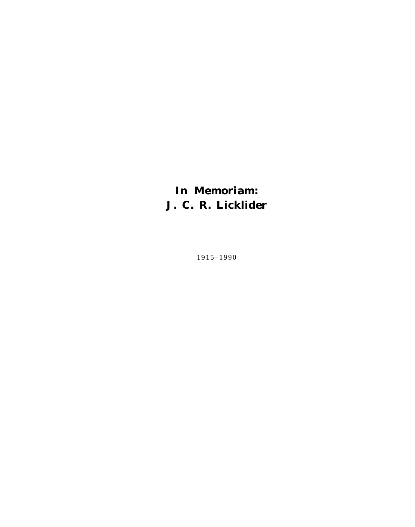# **In Memoriam: J. C. R. Licklider**

1915–1990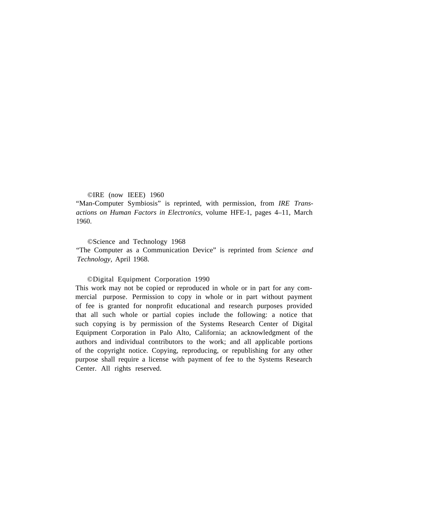©IRE (now IEEE) 1960

"Man-Computer Symbiosis" is reprinted, with permission, from *IRE Transactions on Human Factors in Electronics,* volume HFE-1, pages 4–11, March 1960.

©Science and Technology 1968 "The Computer as a Communication Device" is reprinted from *Science and Technology,* April 1968.

©Digital Equipment Corporation 1990

This work may not be copied or reproduced in whole or in part for any commercial purpose. Permission to copy in whole or in part without payment of fee is granted for nonprofit educational and research purposes provided that all such whole or partial copies include the following: a notice that such copying is by permission of the Systems Research Center of Digital Equipment Corporation in Palo Alto, California; an acknowledgment of the authors and individual contributors to the work; and all applicable portions of the copyright notice. Copying, reproducing, or republishing for any other purpose shall require a license with payment of fee to the Systems Research Center. All rights reserved.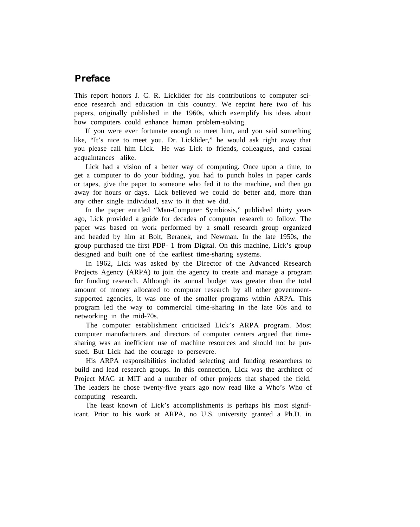## **Preface**

This report honors J. C. R. Licklider for his contributions to computer science research and education in this country. We reprint here two of his papers, originally published in the 1960s, which exemplify his ideas about how computers could enhance human problem-solving.

If you were ever fortunate enough to meet him, and you said something like, "It's nice to meet you, Dr. Licklider," he would ask right away that you please call him Lick. He was Lick to friends, colleagues, and casual acquaintances alike.

Lick had a vision of a better way of computing. Once upon a time, to get a computer to do your bidding, you had to punch holes in paper cards or tapes, give the paper to someone who fed it to the machine, and then go away for hours or days. Lick believed we could do better and, more than any other single individual, saw to it that we did.

In the paper entitled "Man-Computer Symbiosis," published thirty years ago, Lick provided a guide for decades of computer research to follow. The paper was based on work performed by a small research group organized and headed by him at Bolt, Beranek, and Newman. In the late 1950s, the group purchased the first PDP- 1 from Digital. On this machine, Lick's group designed and built one of the earliest time-sharing systems.

In 1962, Lick was asked by the Director of the Advanced Research Projects Agency (ARPA) to join the agency to create and manage a program for funding research. Although its annual budget was greater than the total amount of money allocated to computer research by all other governmentsupported agencies, it was one of the smaller programs within ARPA. This program led the way to commercial time-sharing in the late 60s and to networking in the mid-70s.

The computer establishment criticized Lick's ARPA program. Most computer manufacturers and directors of computer centers argued that timesharing was an inefficient use of machine resources and should not be pursued. But Lick had the courage to persevere.

His ARPA responsibilities included selecting and funding researchers to build and lead research groups. In this connection, Lick was the architect of Project MAC at MIT and a number of other projects that shaped the field. The leaders he chose twenty-five years ago now read like a Who's Who of computing research.

The least known of Lick's accomplishments is perhaps his most significant. Prior to his work at ARPA, no U.S. university granted a Ph.D. in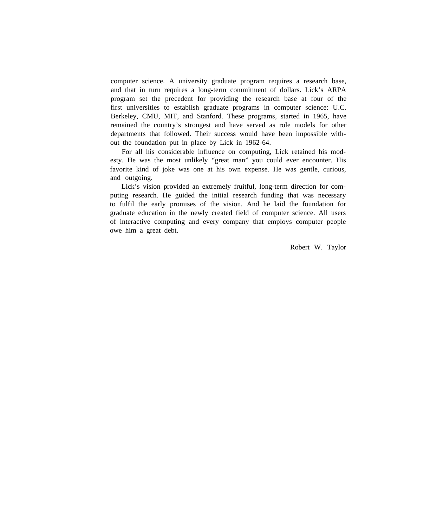computer science. A university graduate program requires a research base, and that in turn requires a long-term commitment of dollars. Lick's ARPA program set the precedent for providing the research base at four of the first universities to establish graduate programs in computer science: U.C. Berkeley, CMU, MIT, and Stanford. These programs, started in 1965, have remained the country's strongest and have served as role models for other departments that followed. Their success would have been impossible without the foundation put in place by Lick in 1962-64.

For all his considerable influence on computing, Lick retained his modesty. He was the most unlikely "great man" you could ever encounter. His favorite kind of joke was one at his own expense. He was gentle, curious, and outgoing.

Lick's vision provided an extremely fruitful, long-term direction for computing research. He guided the initial research funding that was necessary to fulfil the early promises of the vision. And he laid the foundation for graduate education in the newly created field of computer science. All users of interactive computing and every company that employs computer people owe him a great debt.

Robert W. Taylor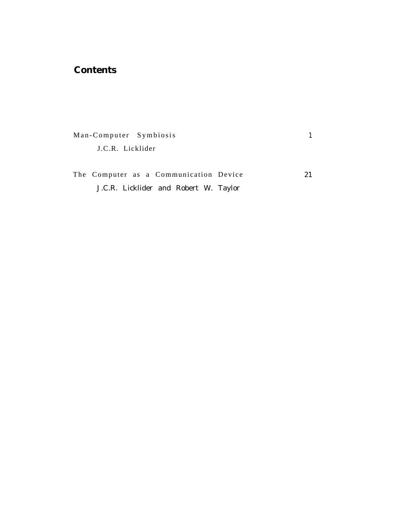# **Contents**

| Man-Computer Symbiosis |  |  |
|------------------------|--|--|
| J.C.R. Licklider       |  |  |
|                        |  |  |

21

The Computer as a Communication Device J.C.R. Licklider and Robert W. Taylor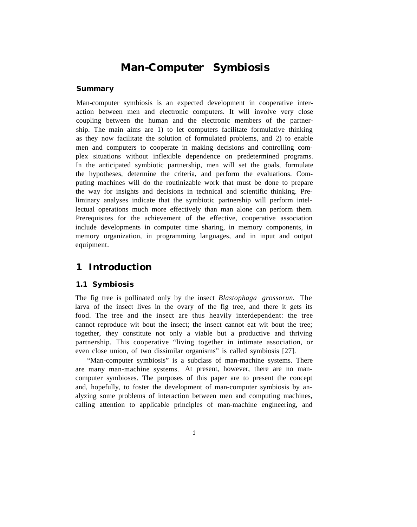# **Man-Computer Symbiosis**

#### **Summary**

Man-computer symbiosis is an expected development in cooperative interaction between men and electronic computers. It will involve very close coupling between the human and the electronic members of the partnership. The main aims are 1) to let computers facilitate formulative thinking as they now facilitate the solution of formulated problems, and 2) to enable men and computers to cooperate in making decisions and controlling complex situations without inflexible dependence on predetermined programs. In the anticipated symbiotic partnership, men will set the goals, formulate the hypotheses, determine the criteria, and perform the evaluations. Computing machines will do the routinizable work that must be done to prepare the way for insights and decisions in technical and scientific thinking. Preliminary analyses indicate that the symbiotic partnership will perform intellectual operations much more effectively than man alone can perform them. Prerequisites for the achievement of the effective, cooperative association include developments in computer time sharing, in memory components, in memory organization, in programming languages, and in input and output equipment.

### **1 Introduction**

#### **1.1 Symbiosis**

The fig tree is pollinated only by the insect *Blastophaga grossorun.* The larva of the insect lives in the ovary of the fig tree, and there it gets its food. The tree and the insect are thus heavily interdependent: the tree cannot reproduce wit bout the insect; the insect cannot eat wit bout the tree; together, they constitute not only a viable but a productive and thriving partnership. This cooperative "living together in intimate association, or even close union, of two dissimilar organisms" is called symbiosis [27].

"Man-computer symbiosis" is a subclass of man-machine systems. There are many man-machine systems. At present, however, there are no mancomputer symbioses. The purposes of this paper are to present the concept and, hopefully, to foster the development of man-computer symbiosis by analyzing some problems of interaction between men and computing machines, calling attention to applicable principles of man-machine engineering, and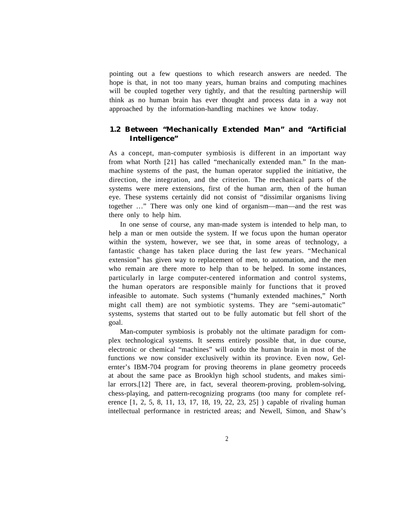pointing out a few questions to which research answers are needed. The hope is that, in not too many years, human brains and computing machines will be coupled together very tightly, and that the resulting partnership will think as no human brain has ever thought and process data in a way not approached by the information-handling machines we know today.

#### **1.2 Between "Mechanically Extended Man" and "Artificial Intelligence"**

As a concept, man-computer symbiosis is different in an important way from what North [21] has called "mechanically extended man." In the manmachine systems of the past, the human operator supplied the initiative, the direction, the integration, and the criterion. The mechanical parts of the systems were mere extensions, first of the human arm, then of the human eye. These systems certainly did not consist of "dissimilar organisms living together …" There was only one kind of organism—man—and the rest was there only to help him.

In one sense of course, any man-made system is intended to help man, to help a man or men outside the system. If we focus upon the human operator within the system, however, we see that, in some areas of technology, a fantastic change has taken place during the last few years. "Mechanical extension" has given way to replacement of men, to automation, and the men who remain are there more to help than to be helped. In some instances, particularly in large computer-centered information and control systems, the human operators are responsible mainly for functions that it proved infeasible to automate. Such systems ("humanly extended machines," North might call them) are not symbiotic systems. They are "semi-automatic" systems, systems that started out to be fully automatic but fell short of the goal.

Man-computer symbiosis is probably not the ultimate paradigm for complex technological systems. It seems entirely possible that, in due course, electronic or chemical "machines" will outdo the human brain in most of the functions we now consider exclusively within its province. Even now, Gelernter's IBM-704 program for proving theorems in plane geometry proceeds at about the same pace as Brooklyn high school students, and makes similar errors.[12] There are, in fact, several theorem-proving, problem-solving, chess-playing, and pattern-recognizing programs (too many for complete reference [1, 2, 5, 8, 11, 13, 17, 18, 19, 22, 23, 25] ) capable of rivaling human intellectual performance in restricted areas; and Newell, Simon, and Shaw's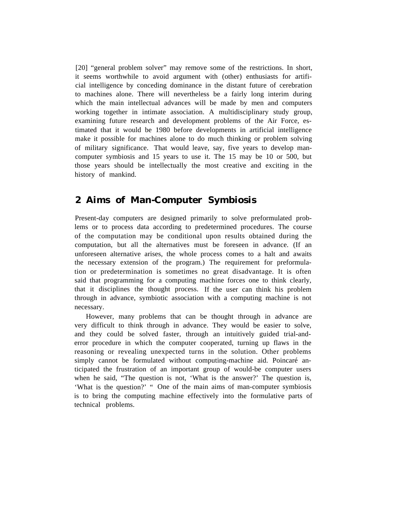[20] "general problem solver" may remove some of the restrictions. In short, it seems worthwhile to avoid argument with (other) enthusiasts for artificial intelligence by conceding dominance in the distant future of cerebration to machines alone. There will nevertheless be a fairly long interim during which the main intellectual advances will be made by men and computers working together in intimate association. A multidisciplinary study group, examining future research and development problems of the Air Force, estimated that it would be 1980 before developments in artificial intelligence make it possible for machines alone to do much thinking or problem solving of military significance. That would leave, say, five years to develop mancomputer symbiosis and 15 years to use it. The 15 may be 10 or 500, but those years should be intellectually the most creative and exciting in the history of mankind.

## **2 Aims of Man-Computer Symbiosis**

Present-day computers are designed primarily to solve preformulated problems or to process data according to predetermined procedures. The course of the computation may be conditional upon results obtained during the computation, but all the alternatives must be foreseen in advance. (If an unforeseen alternative arises, the whole process comes to a halt and awaits the necessary extension of the program.) The requirement for preformulation or predetermination is sometimes no great disadvantage. It is often said that programming for a computing machine forces one to think clearly, that it disciplines the thought process. If the user can think his problem through in advance, symbiotic association with a computing machine is not necessary.

However, many problems that can be thought through in advance are very difficult to think through in advance. They would be easier to solve, and they could be solved faster, through an intuitively guided trial-anderror procedure in which the computer cooperated, turning up flaws in the reasoning or revealing unexpected turns in the solution. Other problems simply cannot be formulated without computing-machine aid. Poincaré anticipated the frustration of an important group of would-be computer users when he said, "The question is not, 'What is the answer?' The question is, 'What is the question?' " One of the main aims of man-computer symbiosis is to bring the computing machine effectively into the formulative parts of technical problems.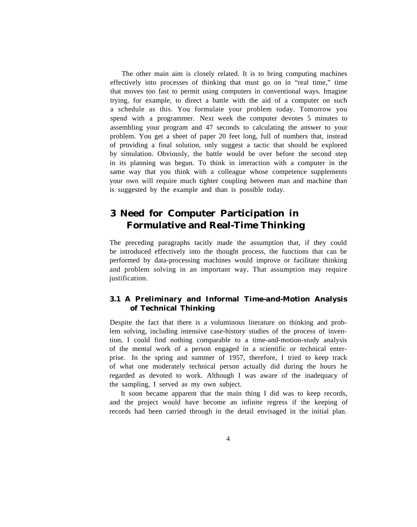The other main aim is closely related. It is to bring computing machines effectively into processes of thinking that must go on in "real time," time that moves too fast to permit using computers in conventional ways. Imagine trying, for example, to direct a battle with the aid of a computer on such a schedule as this. You formulate your problem today. Tomorrow you spend with a programmer. Next week the computer devotes 5 minutes to assembling your program and 47 seconds to calculating the answer to your problem. You get a sheet of paper 20 feet long, full of numbers that, instead of providing a final solution, only suggest a tactic that should be explored by simulation. Obviously, the battle would be over before the second step in its planning was begun. To think in interaction with a computer in the same way that you think with a colleague whose competence supplements your own will require much tighter coupling between man and machine than is suggested by the example and than is possible today.

# **3 Need for Computer Participation in Formulative and Real-Time Thinking**

The preceding paragraphs tacitly made the assumption that, if they could be introduced effectively into the thought process, the functions that can be performed by data-processing machines would improve or facilitate thinking and problem solving in an important way. That assumption may require justification.

#### **3.1 A Preliminary and Informal Time-and-Motion Analysis of Technical Thinking**

Despite the fact that there is a voluminous literature on thinking and problem solving, including intensive case-history studies of the process of invention, I could find nothing comparable to a time-and-motion-study analysis of the mental work of a person engaged in a scientific or technical enterprise. In the spring and summer of 1957, therefore, I tried to keep track of what one moderately technical person actually did during the hours he regarded as devoted to work. Although I was aware of the inadequacy of the sampling, I served as my own subject.

It soon became apparent that the main thing I did was to keep records, and the project would have become an infinite regress if the keeping of records had been carried through in the detail envisaged in the initial plan.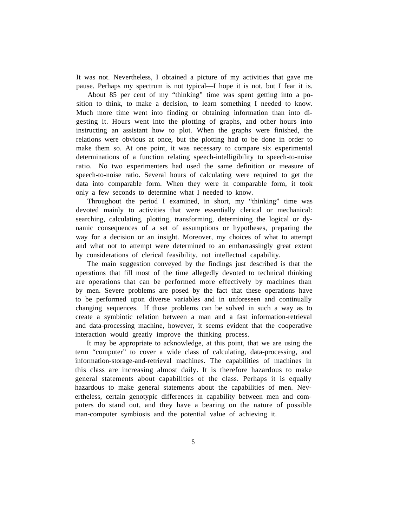It was not. Nevertheless, I obtained a picture of my activities that gave me pause. Perhaps my spectrum is not typical—I hope it is not, but I fear it is.

About 85 per cent of my "thinking" time was spent getting into a position to think, to make a decision, to learn something I needed to know. Much more time went into finding or obtaining information than into digesting it. Hours went into the plotting of graphs, and other hours into instructing an assistant how to plot. When the graphs were finished, the relations were obvious at once, but the plotting had to be done in order to make them so. At one point, it was necessary to compare six experimental determinations of a function relating speech-intelligibility to speech-to-noise ratio. No two experimenters had used the same definition or measure of speech-to-noise ratio. Several hours of calculating were required to get the data into comparable form. When they were in comparable form, it took only a few seconds to determine what I needed to know.

Throughout the period I examined, in short, my "thinking" time was devoted mainly to activities that were essentially clerical or mechanical: searching, calculating, plotting, transforming, determining the logical or dynamic consequences of a set of assumptions or hypotheses, preparing the way for a decision or an insight. Moreover, my choices of what to attempt and what not to attempt were determined to an embarrassingly great extent by considerations of clerical feasibility, not intellectual capability.

The main suggestion conveyed by the findings just described is that the operations that fill most of the time allegedly devoted to technical thinking are operations that can be performed more effectively by machines than by men. Severe problems are posed by the fact that these operations have to be performed upon diverse variables and in unforeseen and continually changing sequences. If those problems can be solved in such a way as to create a symbiotic relation between a man and a fast information-retrieval and data-processing machine, however, it seems evident that the cooperative interaction would greatly improve the thinking process.

It may be appropriate to acknowledge, at this point, that we are using the term "computer" to cover a wide class of calculating, data-processing, and information-storage-and-retrieval machines. The capabilities of machines in this class are increasing almost daily. It is therefore hazardous to make general statements about capabilities of the class. Perhaps it is equally hazardous to make general statements about the capabilities of men. Nevertheless, certain genotypic differences in capability between men and computers do stand out, and they have a bearing on the nature of possible man-computer symbiosis and the potential value of achieving it.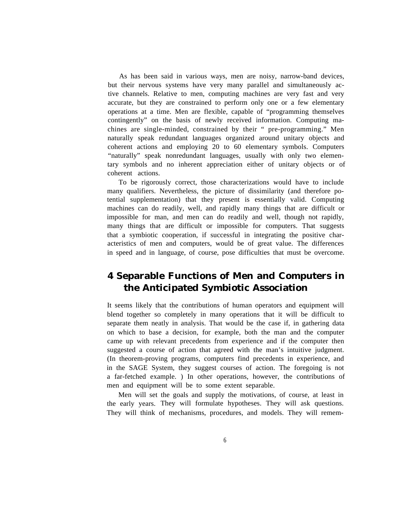As has been said in various ways, men are noisy, narrow-band devices, but their nervous systems have very many parallel and simultaneously active channels. Relative to men, computing machines are very fast and very accurate, but they are constrained to perform only one or a few elementary operations at a time. Men are flexible, capable of "programming themselves contingently" on the basis of newly received information. Computing machines are single-minded, constrained by their " pre-programming." Men naturally speak redundant languages organized around unitary objects and coherent actions and employing 20 to 60 elementary symbols. Computers "naturally" speak nonredundant languages, usually with only two elementary symbols and no inherent appreciation either of unitary objects or of coherent actions.

To be rigorously correct, those characterizations would have to include many qualifiers. Nevertheless, the picture of dissimilarity (and therefore potential supplementation) that they present is essentially valid. Computing machines can do readily, well, and rapidly many things that are difficult or impossible for man, and men can do readily and well, though not rapidly, many things that are difficult or impossible for computers. That suggests that a symbiotic cooperation, if successful in integrating the positive characteristics of men and computers, would be of great value. The differences in speed and in language, of course, pose difficulties that must be overcome.

# **4 Separable Functions of Men and Computers in the Anticipated Symbiotic Association**

It seems likely that the contributions of human operators and equipment will blend together so completely in many operations that it will be difficult to separate them neatly in analysis. That would be the case if, in gathering data on which to base a decision, for example, both the man and the computer came up with relevant precedents from experience and if the computer then suggested a course of action that agreed with the man's intuitive judgment. (In theorem-proving programs, computers find precedents in experience, and in the SAGE System, they suggest courses of action. The foregoing is not a far-fetched example. ) In other operations, however, the contributions of men and equipment will be to some extent separable.

Men will set the goals and supply the motivations, of course, at least in the early years. They will formulate hypotheses. They will ask questions. They will think of mechanisms, procedures, and models. They will remem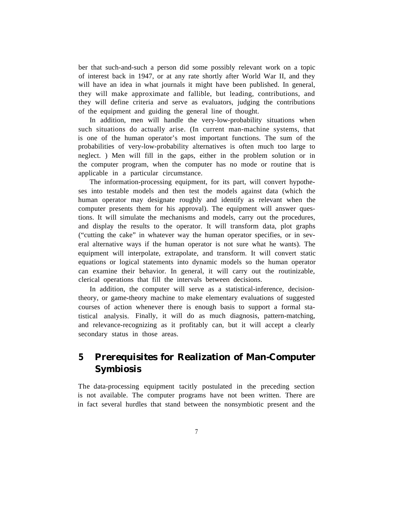ber that such-and-such a person did some possibly relevant work on a topic of interest back in 1947, or at any rate shortly after World War II, and they will have an idea in what journals it might have been published. In general, they will make approximate and fallible, but leading, contributions, and they will define criteria and serve as evaluators, judging the contributions of the equipment and guiding the general line of thought.

In addition, men will handle the very-low-probability situations when such situations do actually arise. (In current man-machine systems, that is one of the human operator's most important functions. The sum of the probabilities of very-low-probability alternatives is often much too large to neglect. ) Men will fill in the gaps, either in the problem solution or in the computer program, when the computer has no mode or routine that is applicable in a particular circumstance.

The information-processing equipment, for its part, will convert hypotheses into testable models and then test the models against data (which the human operator may designate roughly and identify as relevant when the computer presents them for his approval). The equipment will answer questions. It will simulate the mechanisms and models, carry out the procedures, and display the results to the operator. It will transform data, plot graphs ("cutting the cake" in whatever way the human operator specifies, or in several alternative ways if the human operator is not sure what he wants). The equipment will interpolate, extrapolate, and transform. It will convert static equations or logical statements into dynamic models so the human operator can examine their behavior. In general, it will carry out the routinizable, clerical operations that fill the intervals between decisions.

In addition, the computer will serve as a statistical-inference, decisiontheory, or game-theory machine to make elementary evaluations of suggested courses of action whenever there is enough basis to support a formal statistical analysis. Finally, it will do as much diagnosis, pattern-matching, and relevance-recognizing as it profitably can, but it will accept a clearly secondary status in those areas.

#### **5 Prerequisites for Realization of Man-Computer Symbiosis**

The data-processing equipment tacitly postulated in the preceding section is not available. The computer programs have not been written. There are in fact several hurdles that stand between the nonsymbiotic present and the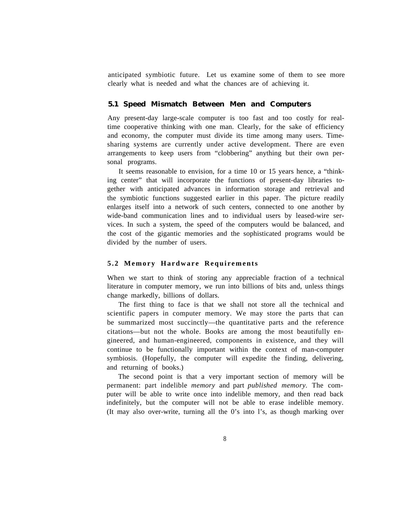anticipated symbiotic future. Let us examine some of them to see more clearly what is needed and what the chances are of achieving it.

#### **5.1 Speed Mismatch Between Men and Computers**

Any present-day large-scale computer is too fast and too costly for realtime cooperative thinking with one man. Clearly, for the sake of efficiency and economy, the computer must divide its time among many users. Timesharing systems are currently under active development. There are even arrangements to keep users from "clobbering" anything but their own personal programs.

It seems reasonable to envision, for a time 10 or 15 years hence, a "thinking center" that will incorporate the functions of present-day libraries together with anticipated advances in information storage and retrieval and the symbiotic functions suggested earlier in this paper. The picture readily enlarges itself into a network of such centers, connected to one another by wide-band communication lines and to individual users by leased-wire services. In such a system, the speed of the computers would be balanced, and the cost of the gigantic memories and the sophisticated programs would be divided by the number of users.

#### **5.2 Memory Hardware Requirements**

When we start to think of storing any appreciable fraction of a technical literature in computer memory, we run into billions of bits and, unless things change markedly, billions of dollars.

The first thing to face is that we shall not store all the technical and scientific papers in computer memory. We may store the parts that can be summarized most succinctly—the quantitative parts and the reference citations—but not the whole. Books are among the most beautifully engineered, and human-engineered, components in existence, and they will continue to be functionally important within the context of man-computer symbiosis. (Hopefully, the computer will expedite the finding, delivering, and returning of books.)

The second point is that a very important section of memory will be permanent: part indelible *memory* and part *published memory.* The computer will be able to write once into indelible memory, and then read back indefinitely, but the computer will not be able to erase indelible memory. (It may also over-write, turning all the 0's into l's, as though marking over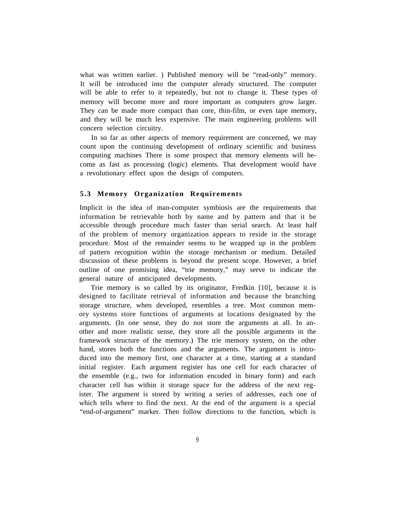what was written earlier. ) Published memory will be "read-only" memory. It will be introduced into the computer already structured. The computer will be able to refer to it repeatedly, but not to change it. These types of memory will become more and more important as computers grow larger. They can be made more compact than core, thin-film, or even tape memory, and they will be much less expensive. The main engineering problems will concern selection circuitry.

In so far as other aspects of memory requirement are concerned, we may count upon the continuing development of ordinary scientific and business computing machines There is some prospect that memory elements will become as fast as processing (logic) elements. That development would have a revolutionary effect upon the design of computers.

#### **5.3 Memory Organization Requirements**

Implicit in the idea of man-computer symbiosis are the requirements that information be retrievable both by name and by pattern and that it be accessible through procedure much faster than serial search. At least half of the problem of memory organization appears to reside in the storage procedure. Most of the remainder seems to be wrapped up in the problem of pattern recognition within the storage mechanism or medium. Detailed discussion of these problems is beyond the present scope. However, a brief outline of one promising idea, "trie memory," may serve to indicate the general nature of anticipated developments.

Trie memory is so called by its originator, Fredkin [10], because it is designed to facilitate retrieval of information and because the branching storage structure, when developed, resembles a tree. Most common memory systems store functions of arguments at locations designated by the arguments. (In one sense, they do not store the arguments at all. In another and more realistic sense, they store all the possible arguments in the framework structure of the memory.) The trie memory system, on the other hand, stores both the functions and the arguments. The argument is introduced into the memory first, one character at a time, starting at a standard initial register. Each argument register has one cell for each character of the ensemble (e.g., two for information encoded in binary form) and each character cell has within it storage space for the address of the next register. The argument is stored by writing a series of addresses, each one of which tells where to find the next. At the end of the argument is a special "end-of-argument" marker. Then follow directions to the function, which is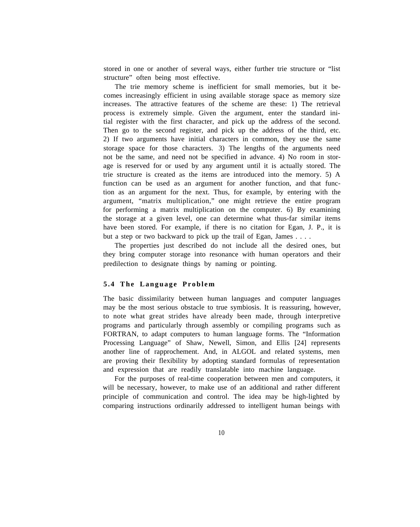stored in one or another of several ways, either further trie structure or "list structure" often being most effective.

The trie memory scheme is inefficient for small memories, but it becomes increasingly efficient in using available storage space as memory size increases. The attractive features of the scheme are these: 1) The retrieval process is extremely simple. Given the argument, enter the standard initial register with the first character, and pick up the address of the second. Then go to the second register, and pick up the address of the third, etc. 2) If two arguments have initial characters in common, they use the same storage space for those characters. 3) The lengths of the arguments need not be the same, and need not be specified in advance. 4) No room in storage is reserved for or used by any argument until it is actually stored. The trie structure is created as the items are introduced into the memory. 5) A function can be used as an argument for another function, and that function as an argument for the next. Thus, for example, by entering with the argument, "matrix multiplication," one might retrieve the entire program for performing a matrix multiplication on the computer. 6) By examining the storage at a given level, one can determine what thus-far similar items have been stored. For example, if there is no citation for Egan, J. P., it is but a step or two backward to pick up the trail of Egan, James . . . .

The properties just described do not include all the desired ones, but they bring computer storage into resonance with human operators and their predilection to designate things by naming or pointing.

#### **5.4 The Language Problem**

The basic dissimilarity between human languages and computer languages may be the most serious obstacle to true symbiosis. It is reassuring, however, to note what great strides have already been made, through interpretive programs and particularly through assembly or compiling programs such as FORTRAN, to adapt computers to human language forms. The "Information Processing Language" of Shaw, Newell, Simon, and Ellis [24] represents another line of rapprochement. And, in ALGOL and related systems, men are proving their flexibility by adopting standard formulas of representation and expression that are readily translatable into machine language.

For the purposes of real-time cooperation between men and computers, it will be necessary, however, to make use of an additional and rather different principle of communication and control. The idea may be high-lighted by comparing instructions ordinarily addressed to intelligent human beings with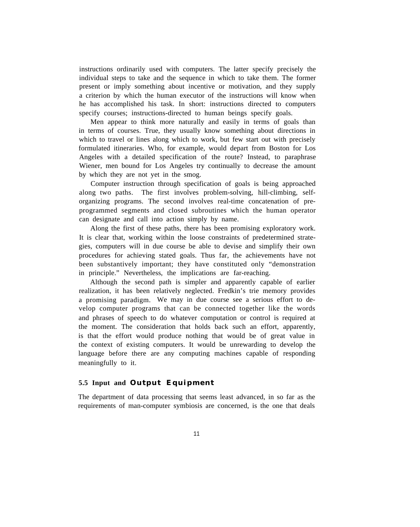instructions ordinarily used with computers. The latter specify precisely the individual steps to take and the sequence in which to take them. The former present or imply something about incentive or motivation, and they supply a criterion by which the human executor of the instructions will know when he has accomplished his task. In short: instructions directed to computers specify courses; instructions-directed to human beings specify goals.

Men appear to think more naturally and easily in terms of goals than in terms of courses. True, they usually know something about directions in which to travel or lines along which to work, but few start out with precisely formulated itineraries. Who, for example, would depart from Boston for Los Angeles with a detailed specification of the route? Instead, to paraphrase Wiener, men bound for Los Angeles try continually to decrease the amount by which they are not yet in the smog.

Computer instruction through specification of goals is being approached along two paths. The first involves problem-solving, hill-climbing, selforganizing programs. The second involves real-time concatenation of preprogrammed segments and closed subroutines which the human operator can designate and call into action simply by name.

Along the first of these paths, there has been promising exploratory work. It is clear that, working within the loose constraints of predetermined strategies, computers will in due course be able to devise and simplify their own procedures for achieving stated goals. Thus far, the achievements have not been substantively important; they have constituted only "demonstration in principle." Nevertheless, the implications are far-reaching.

Although the second path is simpler and apparently capable of earlier realization, it has been relatively neglected. Fredkin's trie memory provides a promising paradigm. We may in due course see a serious effort to develop computer programs that can be connected together like the words and phrases of speech to do whatever computation or control is required at the moment. The consideration that holds back such an effort, apparently, is that the effort would produce nothing that would be of great value in the context of existing computers. It would be unrewarding to develop the language before there are any computing machines capable of responding meaningfully to it.

#### **5.5 Input and Output Equipment**

The department of data processing that seems least advanced, in so far as the requirements of man-computer symbiosis are concerned, is the one that deals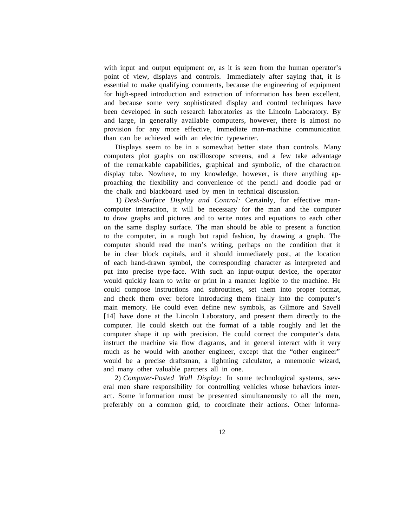with input and output equipment or, as it is seen from the human operator's point of view, displays and controls. Immediately after saying that, it is essential to make qualifying comments, because the engineering of equipment for high-speed introduction and extraction of information has been excellent, and because some very sophisticated display and control techniques have been developed in such research laboratories as the Lincoln Laboratory. By and large, in generally available computers, however, there is almost no provision for any more effective, immediate man-machine communication than can be achieved with an electric typewriter.

Displays seem to be in a somewhat better state than controls. Many computers plot graphs on oscilloscope screens, and a few take advantage of the remarkable capabilities, graphical and symbolic, of the charactron display tube. Nowhere, to my knowledge, however, is there anything approaching the flexibility and convenience of the pencil and doodle pad or the chalk and blackboard used by men in technical discussion.

1) *Desk-Surface Display and Control:* Certainly, for effective mancomputer interaction, it will be necessary for the man and the computer to draw graphs and pictures and to write notes and equations to each other on the same display surface. The man should be able to present a function to the computer, in a rough but rapid fashion, by drawing a graph. The computer should read the man's writing, perhaps on the condition that it be in clear block capitals, and it should immediately post, at the location of each hand-drawn symbol, the corresponding character as interpreted and put into precise type-face. With such an input-output device, the operator would quickly learn to write or print in a manner legible to the machine. He could compose instructions and subroutines, set them into proper format, and check them over before introducing them finally into the computer's main memory. He could even define new symbols, as Gilmore and Savell [14] have done at the Lincoln Laboratory, and present them directly to the computer. He could sketch out the format of a table roughly and let the computer shape it up with precision. He could correct the computer's data, instruct the machine via flow diagrams, and in general interact with it very much as he would with another engineer, except that the "other engineer" would be a precise draftsman, a lightning calculator, a mnemonic wizard, and many other valuable partners all in one.

2) *Computer-Posted Wall Display:* In some technological systems, several men share responsibility for controlling vehicles whose behaviors interact. Some information must be presented simultaneously to all the men, preferably on a common grid, to coordinate their actions. Other informa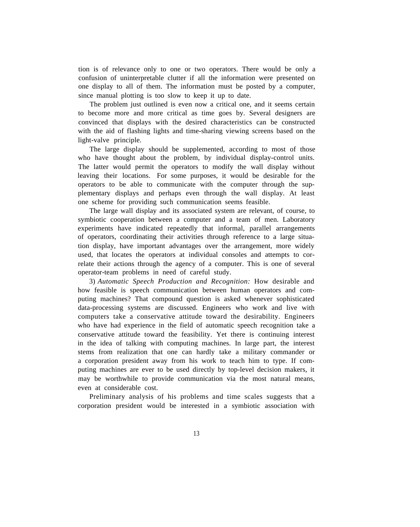tion is of relevance only to one or two operators. There would be only a confusion of uninterpretable clutter if all the information were presented on one display to all of them. The information must be posted by a computer, since manual plotting is too slow to keep it up to date.

The problem just outlined is even now a critical one, and it seems certain to become more and more critical as time goes by. Several designers are convinced that displays with the desired characteristics can be constructed with the aid of flashing lights and time-sharing viewing screens based on the light-valve principle.

The large display should be supplemented, according to most of those who have thought about the problem, by individual display-control units. The latter would permit the operators to modify the wall display without leaving their locations. For some purposes, it would be desirable for the operators to be able to communicate with the computer through the supplementary displays and perhaps even through the wall display. At least one scheme for providing such communication seems feasible.

The large wall display and its associated system are relevant, of course, to symbiotic cooperation between a computer and a team of men. Laboratory experiments have indicated repeatedly that informal, parallel arrangements of operators, coordinating their activities through reference to a large situation display, have important advantages over the arrangement, more widely used, that locates the operators at individual consoles and attempts to correlate their actions through the agency of a computer. This is one of several operator-team problems in need of careful study.

3) *Automatic Speech Production and Recognition:* How desirable and how feasible is speech communication between human operators and computing machines? That compound question is asked whenever sophisticated data-processing systems are discussed. Engineers who work and live with computers take a conservative attitude toward the desirability. Engineers who have had experience in the field of automatic speech recognition take a conservative attitude toward the feasibility. Yet there is continuing interest in the idea of talking with computing machines. In large part, the interest stems from realization that one can hardly take a military commander or a corporation president away from his work to teach him to type. If computing machines are ever to be used directly by top-level decision makers, it may be worthwhile to provide communication via the most natural means, even at considerable cost.

Preliminary analysis of his problems and time scales suggests that a corporation president would be interested in a symbiotic association with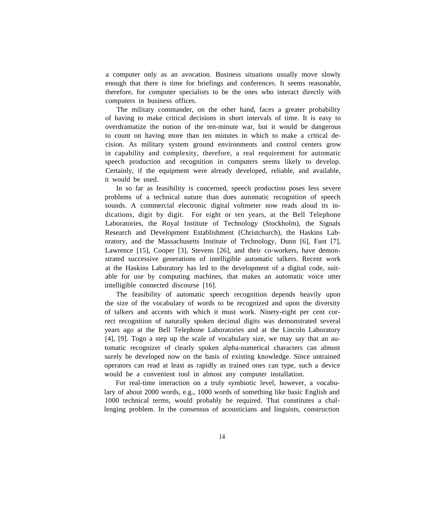a computer only as an avocation. Business situations usually move slowly enough that there is time for briefings and conferences. It seems reasonable, therefore, for computer specialists to be the ones who interact directly with computers in business offices.

The military commander, on the other hand, faces a greater probability of having to make critical decisions in short intervals of time. It is easy to overdramatize the notion of the ten-minute war, but it would be dangerous to count on having more than ten minutes in which to make a critical decision. As military system ground environments and control centers grow in capability and complexity, therefore, a real requirement for automatic speech production and recognition in computers seems likely to develop. Certainly, if the equipment were already developed, reliable, and available, it would be used.

In so far as feasibility is concerned, speech production poses less severe problems of a technical nature than does automatic recognition of speech sounds. A commercial electronic digital voltmeter now reads aloud its indications, digit by digit. For eight or ten years, at the Bell Telephone Laboratories, the Royal Institute of Technology (Stockholm), the Signals Research and Development Establishment (Christchurch), the Haskins Laboratory, and the Massachusetts Institute of Technology, Dunn [6], Fant [7], Lawrence [15], Cooper [3], Stevens [26], and their co-workers, have demonstrated successive generations of intelligible automatic talkers. Recent work at the Haskins Laboratory has led to the development of a digital code, suitable for use by computing machines, that makes an automatic voice utter intelligible connected discourse [16].

The feasibility of automatic speech recognition depends heavily upon the size of the vocabulary of words to be recognized and upon the diversity of talkers and accents with which it must work. Ninety-eight per cent correct recognition of naturally spoken decimal digits was demonstrated several years ago at the Bell Telephone Laboratories and at the Lincoln Laboratory [4], [9]. Togo a step up the scale of vocabulary size, we may say that an automatic recognizer of clearly spoken alpha-numerical characters can almost surely be developed now on the basis of existing knowledge. Since untrained operators can read at least as rapidly as trained ones can type, such a device would be a convenient tool in almost any computer installation.

For real-time interaction on a truly symbiotic level, however, a vocabulary of about 2000 words, e.g., 1000 words of something like basic English and 1000 technical terms, would probably be required. That constitutes a challenging problem. In the consensus of acousticians and linguists, construction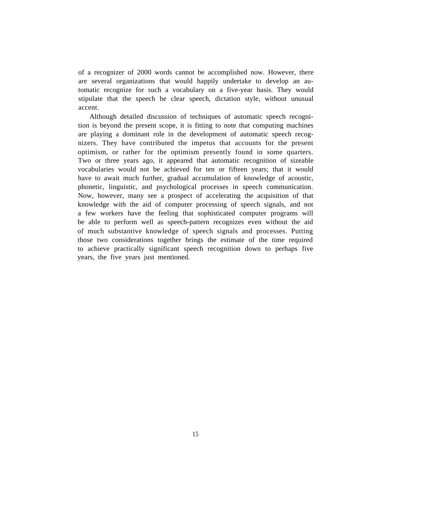of a recognizer of 2000 words cannot be accomplished now. However, there are several organizations that would happily undertake to develop an automatic recognize for such a vocabulary on a five-year basis. They would stipulate that the speech be clear speech, dictation style, without unusual accent.

Although detailed discussion of techniques of automatic speech recognition is beyond the present scope, it is fitting to note that computing machines are playing a dominant role in the development of automatic speech recognizers. They have contributed the impetus that accounts for the present optimism, or rather for the optimism presently found in some quarters. Two or three years ago, it appeared that automatic recognition of sizeable vocabularies would not be achieved for ten or fifteen years; that it would have to await much further, gradual accumulation of knowledge of acoustic, phonetic, linguistic, and psychological processes in speech communication. Now, however, many see a prospect of accelerating the acquisition of that knowledge with the aid of computer processing of speech signals, and not a few workers have the feeling that sophisticated computer programs will be able to perform well as speech-pattern recognizes even without the aid of much substantive knowledge of speech signals and processes. Putting those two considerations together brings the estimate of the time required to achieve practically significant speech recognition down to perhaps five years, the five years just mentioned.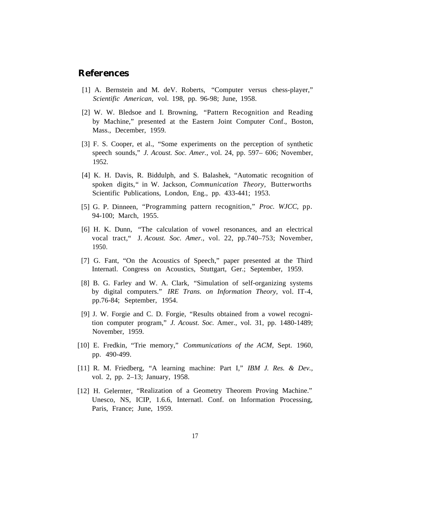#### **References**

- [1] A. Bernstein and M. deV. Roberts, "Computer versus chess-player," *Scientific American,* vol. 198, pp. 96-98; June, 1958.
- [2] W. W. Bledsoe and I. Browning, "Pattern Recognition and Reading by Machine," presented at the Eastern Joint Computer Conf., Boston, Mass., December, 1959.
- [3] F. S. Cooper, et al., "Some experiments on the perception of synthetic speech sounds," *J. Acoust. Soc. Amer.,* vol. 24, pp. 597– 606; November, 1952.
- [4] K. H. Davis, R. Biddulph, and S. Balashek, "Automatic recognition of spoken digits," in W. Jackson, *Communication Theory,* Butterworths Scientific Publications, London, Eng., pp. 433-441; 1953.
- [5] G. P. Dinneen, "Programming pattern recognition," *Proc. WJCC,* pp. 94-100; March, 1955.
- [6] H. K. Dunn, "The calculation of vowel resonances, and an electrical vocal tract," J. *Acoust. Soc. Amer.,* vol. 22, pp.740–753; November, 1950.
- [7] G. Fant, "On the Acoustics of Speech," paper presented at the Third Internatl. Congress on Acoustics, Stuttgart, Ger.; September, 1959.
- [8] B. G. Farley and W. A. Clark, "Simulation of self-organizing systems by digital computers." *IRE Trans. on Information Theory,* vol. IT-4, pp.76-84; September, 1954.
- [9] J. W. Forgie and C. D. Forgie, "Results obtained from a vowel recognition computer program," *J. Acoust. Soc.* Amer., vol. 31, pp. 1480-1489; November, 1959.
- [10] E. Fredkin, "Trie memory," *Communications of the ACM,* Sept. 1960, pp. 490-499.
- [11] R. M. Friedberg, "A learning machine: Part I," *IBM J. Res. & Dev.,* vol. 2, pp. 2–13; January, 1958.
- [12] H. Gelernter, "Realization of a Geometry Theorem Proving Machine." Unesco, NS, ICIP, 1.6.6, Internatl. Conf. on Information Processing, Paris, France; June, 1959.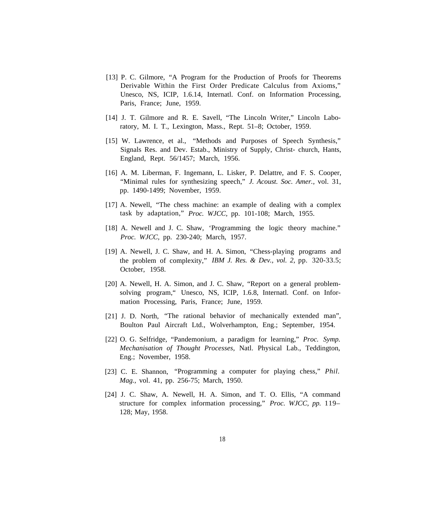- [13] P. C. Gilmore, "A Program for the Production of Proofs for Theorems Derivable Within the First Order Predicate Calculus from Axioms," Unesco, NS, ICIP, 1.6.14, Internatl. Conf. on Information Processing, Paris, France; June, 1959.
- [14] J. T. Gilmore and R. E. Savell, "The Lincoln Writer," Lincoln Laboratory, M. I. T., Lexington, Mass., Rept. 51–8; October, 1959.
- [15] W. Lawrence, et al., "Methods and Purposes of Speech Synthesis," Signals Res. and Dev. Estab., Ministry of Supply, Christ- church, Hants, England, Rept. 56/1457; March, 1956.
- [16] A. M. Liberman, F. Ingemann, L. Lisker, P. Delattre, and F. S. Cooper, "Minimal rules for synthesizing speech," *J. Acoust. Soc. Amer.,* vol. 31, pp. 1490-1499; November, 1959.
- [17] A. Newell, "The chess machine: an example of dealing with a complex task by adaptation," *Proc. WJCC,* pp. 101-108; March, 1955.
- [18] A. Newell and J. C. Shaw, 'Programming the logic theory machine." *Proc. WJCC,* pp. 230-240; March, 1957.
- [19] A. Newell, J. C. Shaw, and H. A. Simon, "Chess-playing programs and the problem of complexity," *IBM J. Res. & Dev., vol. 2,* pp. 320-33.5; October, 1958.
- [20] A. Newell, H. A. Simon, and J. C. Shaw, "Report on a general problemsolving program," Unesco, NS, ICIP, 1.6.8, Internatl. Conf. on Information Processing, Paris, France; June, 1959.
- [21] J. D. North, "The rational behavior of mechanically extended man", Boulton Paul Aircraft Ltd., Wolverhampton, Eng.; September, 1954.
- [22] O. G. Selfridge, "Pandemonium, a paradigm for learning," *Proc. Symp. Mechanisation of Thought Processes,* Natl. Physical Lab., Teddington, Eng.; November, 1958.
- [23] C. E. Shannon, "Programming a computer for playing chess," *Phil. Mag.,* vol. 41, pp. 256-75; March, 1950.
- [24] J. C. Shaw, A. Newell, H. A. Simon, and T. O. Ellis, "A command structure for complex information processing," *Proc. WJCC, pp.* 119– 128; May, 1958.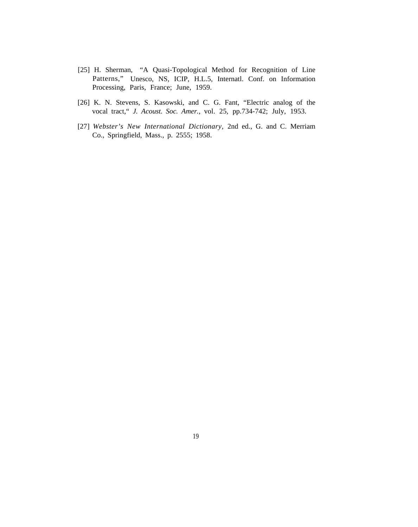- [25] H. Sherman, "A Quasi-Topological Method for Recognition of Line Patterns," Unesco, NS, ICIP, H.L.5, Internatl. Conf. on Information Processing, Paris, France; June, 1959.
- [26] K. N. Stevens, S. Kasowski, and C. G. Fant, "Electric analog of the vocal tract," *J. Acoust. Soc. Amer.,* vol. 25, pp.734-742; July, 1953.
- [27] *Webster's New International Dictionary,* 2nd ed., G. and C. Merriam Co., Springfield, Mass., p. 2555; 1958.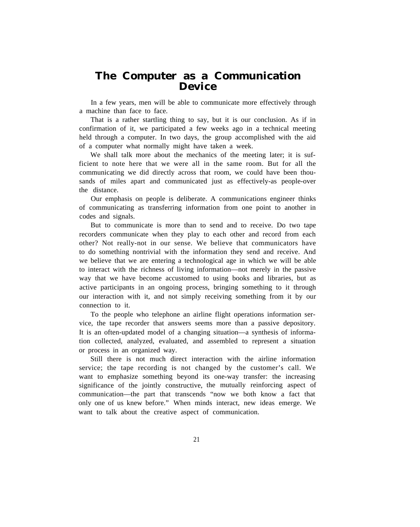# **The Computer as a Communication Device**

In a few years, men will be able to communicate more effectively through a machine than face to face.

That is a rather startling thing to say, but it is our conclusion. As if in confirmation of it, we participated a few weeks ago in a technical meeting held through a computer. In two days, the group accomplished with the aid of a computer what normally might have taken a week.

We shall talk more about the mechanics of the meeting later; it is sufficient to note here that we were all in the same room. But for all the communicating we did directly across that room, we could have been thousands of miles apart and communicated just as effectively-as people-over the distance.

Our emphasis on people is deliberate. A communications engineer thinks of communicating as transferring information from one point to another in codes and signals.

But to communicate is more than to send and to receive. Do two tape recorders communicate when they play to each other and record from each other? Not really-not in our sense. We believe that communicators have to do something nontrivial with the information they send and receive. And we believe that we are entering a technological age in which we will be able to interact with the richness of living information—not merely in the passive way that we have become accustomed to using books and libraries, but as active participants in an ongoing process, bringing something to it through our interaction with it, and not simply receiving something from it by our connection to it.

To the people who telephone an airline flight operations information service, the tape recorder that answers seems more than a passive depository. It is an often-updated model of a changing situation—a synthesis of information collected, analyzed, evaluated, and assembled to represent a situation or process in an organized way.

Still there is not much direct interaction with the airline information service; the tape recording is not changed by the customer's call. We want to emphasize something beyond its one-way transfer: the increasing significance of the jointly constructive, the mutually reinforcing aspect of communication—the part that transcends "now we both know a fact that only one of us knew before." When minds interact, new ideas emerge. We want to talk about the creative aspect of communication.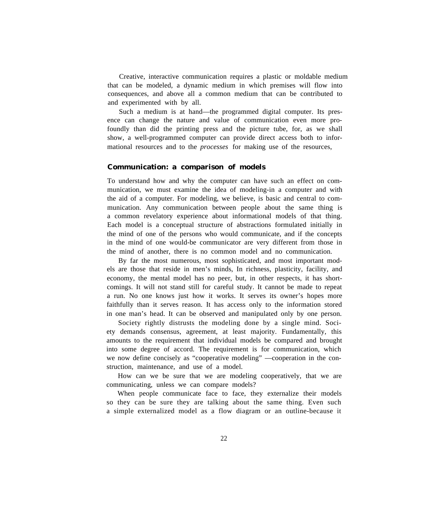Creative, interactive communication requires a plastic or moldable medium that can be modeled, a dynamic medium in which premises will flow into consequences, and above all a common medium that can be contributed to and experimented with by all.

Such a medium is at hand—the programmed digital computer. Its presence can change the nature and value of communication even more profoundly than did the printing press and the picture tube, for, as we shall show, a well-programmed computer can provide direct access both to informational resources and to the *processes* for making use of the resources,

#### **Communication: a comparison of models**

To understand how and why the computer can have such an effect on communication, we must examine the idea of modeling-in a computer and with the aid of a computer. For modeling, we believe, is basic and central to communication. Any communication between people about the same thing is a common revelatory experience about informational models of that thing. Each model is a conceptual structure of abstractions formulated initially in the mind of one of the persons who would communicate, and if the concepts in the mind of one would-be communicator are very different from those in the mind of another, there is no common model and no communication.

By far the most numerous, most sophisticated, and most important models are those that reside in men's minds, In richness, plasticity, facility, and economy, the mental model has no peer, but, in other respects, it has shortcomings. It will not stand still for careful study. It cannot be made to repeat a run. No one knows just how it works. It serves its owner's hopes more faithfully than it serves reason. It has access only to the information stored in one man's head. It can be observed and manipulated only by one person.

Society rightly distrusts the modeling done by a single mind. Society demands consensus, agreement, at least majority. Fundamentally, this amounts to the requirement that individual models be compared and brought into some degree of accord. The requirement is for communication, which we now define concisely as "cooperative modeling" —cooperation in the construction, maintenance, and use of a model.

How can we be sure that we are modeling cooperatively, that we are communicating, unless we can compare models?

When people communicate face to face, they externalize their models so they can be sure they are talking about the same thing. Even such a simple externalized model as a flow diagram or an outline-because it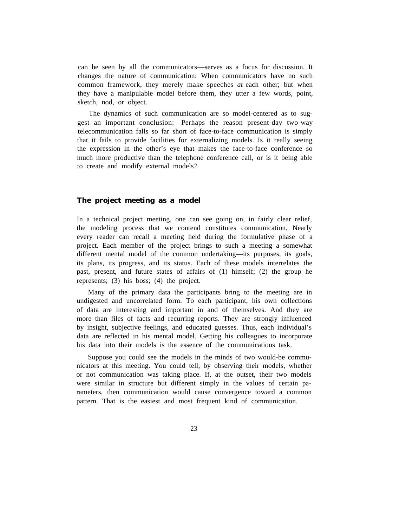can be seen by all the communicators—serves as a focus for discussion. It changes the nature of communication: When communicators have no such common framework, they merely make speeches *at* each other; but when they have a manipulable model before them, they utter a few words, point, sketch, nod, or object.

The dynamics of such communication are so model-centered as to suggest an important conclusion: Perhaps the reason present-day two-way telecommunication falls so far short of face-to-face communication is simply that it fails to provide facilities for externalizing models. Is it really seeing the expression in the other's eye that makes the face-to-face conference so much more productive than the telephone conference call, or is it being able to create and modify external models?

#### **The project meeting as a model**

In a technical project meeting, one can see going on, in fairly clear relief, the modeling process that we contend constitutes communication. Nearly every reader can recall a meeting held during the formulative phase of a project. Each member of the project brings to such a meeting a somewhat different mental model of the common undertaking—its purposes, its goals, its plans, its progress, and its status. Each of these models interrelates the past, present, and future states of affairs of (1) himself; (2) the group he represents; (3) his boss; (4) the project.

Many of the primary data the participants bring to the meeting are in undigested and uncorrelated form. To each participant, his own collections of data are interesting and important in and of themselves. And they are more than files of facts and recurring reports. They are strongly influenced by insight, subjective feelings, and educated guesses. Thus, each individual's data are reflected in his mental model. Getting his colleagues to incorporate his data into their models is the essence of the communications task.

Suppose you could see the models in the minds of two would-be communicators at this meeting. You could tell, by observing their models, whether or not communication was taking place. If, at the outset, their two models were similar in structure but different simply in the values of certain parameters, then communication would cause convergence toward a common pattern. That is the easiest and most frequent kind of communication.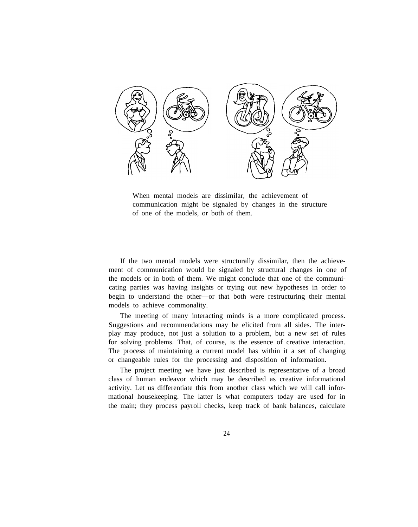

When mental models are dissimilar, the achievement of communication might be signaled by changes in the structure of one of the models, or both of them.

If the two mental models were structurally dissimilar, then the achievement of communication would be signaled by structural changes in one of the models or in both of them. We might conclude that one of the communicating parties was having insights or trying out new hypotheses in order to begin to understand the other—or that both were restructuring their mental models to achieve commonality.

The meeting of many interacting minds is a more complicated process. Suggestions and recommendations may be elicited from all sides. The interplay may produce, not just a solution to a problem, but a new set of rules for solving problems. That, of course, is the essence of creative interaction. The process of maintaining a current model has within it a set of changing or changeable rules for the processing and disposition of information.

The project meeting we have just described is representative of a broad class of human endeavor which may be described as creative informational activity. Let us differentiate this from another class which we will call informational housekeeping. The latter is what computers today are used for in the main; they process payroll checks, keep track of bank balances, calculate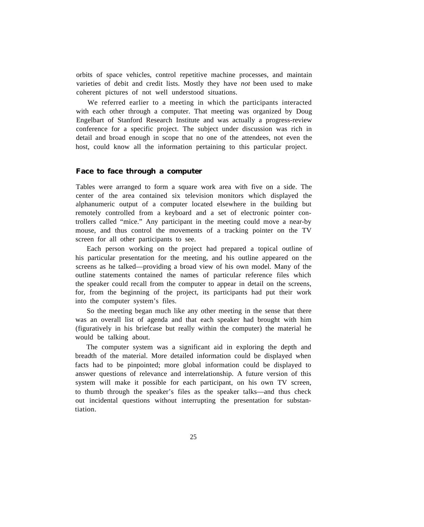orbits of space vehicles, control repetitive machine processes, and maintain varieties of debit and credit lists. Mostly they have *not* been used to make coherent pictures of not well understood situations.

We referred earlier to a meeting in which the participants interacted with each other through a computer. That meeting was organized by Doug Engelbart of Stanford Research Institute and was actually a progress-review conference for a specific project. The subject under discussion was rich in detail and broad enough in scope that no one of the attendees, not even the host, could know all the information pertaining to this particular project.

#### **Face to face through a computer**

Tables were arranged to form a square work area with five on a side. The center of the area contained six television monitors which displayed the alphanumeric output of a computer located elsewhere in the building but remotely controlled from a keyboard and a set of electronic pointer controllers called "mice." Any participant in the meeting could move a near-by mouse, and thus control the movements of a tracking pointer on the TV screen for all other participants to see.

Each person working on the project had prepared a topical outline of his particular presentation for the meeting, and his outline appeared on the screens as he talked—providing a broad view of his own model. Many of the outline statements contained the names of particular reference files which the speaker could recall from the computer to appear in detail on the screens, for, from the beginning of the project, its participants had put their work into the computer system's files.

So the meeting began much like any other meeting in the sense that there was an overall list of agenda and that each speaker had brought with him (figuratively in his briefcase but really within the computer) the material he would be talking about.

The computer system was a significant aid in exploring the depth and breadth of the material. More detailed information could be displayed when facts had to be pinpointed; more global information could be displayed to answer questions of relevance and interrelationship. A future version of this system will make it possible for each participant, on his own TV screen, to thumb through the speaker's files as the speaker talks—and thus check out incidental questions without interrupting the presentation for substantiation.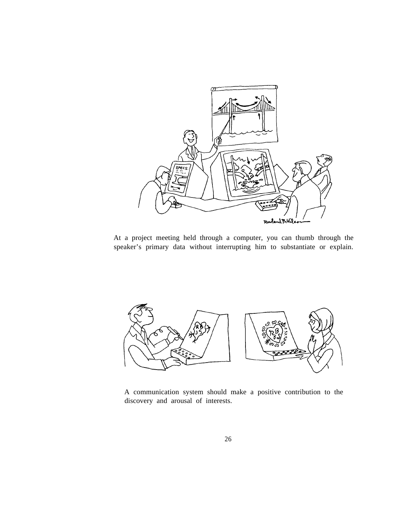

At a project meeting held through a computer, you can thumb through the speaker's primary data without interrupting him to substantiate or explain.



A communication system should make a positive contribution to the discovery and arousal of interests.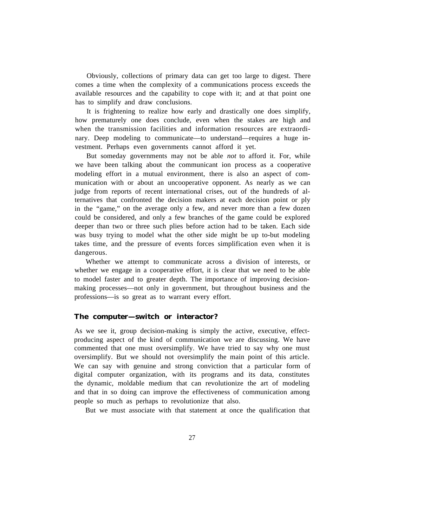Obviously, collections of primary data can get too large to digest. There comes a time when the complexity of a communications process exceeds the available resources and the capability to cope with it; and at that point one has to simplify and draw conclusions.

It is frightening to realize how early and drastically one does simplify, how prematurely one does conclude, even when the stakes are high and when the transmission facilities and information resources are extraordinary. Deep modeling to communicate—to understand—requires a huge investment. Perhaps even governments cannot afford it yet.

But someday governments may not be able *not* to afford it. For, while we have been talking about the communicant ion process as a cooperative modeling effort in a mutual environment, there is also an aspect of communication with or about an uncooperative opponent. As nearly as we can judge from reports of recent international crises, out of the hundreds of alternatives that confronted the decision makers at each decision point or ply in the "game," on the average only a few, and never more than a few dozen could be considered, and only a few branches of the game could be explored deeper than two or three such plies before action had to be taken. Each side was busy trying to model what the other side might be up to-but modeling takes time, and the pressure of events forces simplification even when it is dangerous.

Whether we attempt to communicate across a division of interests, or whether we engage in a cooperative effort, it is clear that we need to be able to model faster and to greater depth. The importance of improving decisionmaking processes—not only in government, but throughout business and the professions—is so great as to warrant every effort.

#### **The computer—switch or interactor?**

As we see it, group decision-making is simply the active, executive, effectproducing aspect of the kind of communication we are discussing. We have commented that one must oversimplify. We have tried to say why one must oversimplify. But we should not oversimplify the main point of this article. We can say with genuine and strong conviction that a particular form of digital computer organization, with its programs and its data, constitutes the dynamic, moldable medium that can revolutionize the art of modeling and that in so doing can improve the effectiveness of communication among people so much as perhaps to revolutionize that also.

But we must associate with that statement at once the qualification that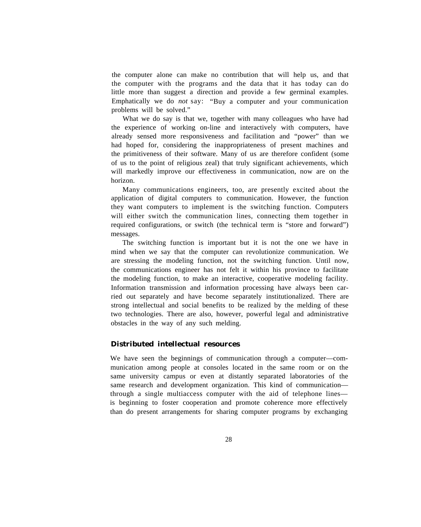the computer alone can make no contribution that will help us, and that the computer with the programs and the data that it has today can do little more than suggest a direction and provide a few germinal examples. Emphatically we do *not* say: "Buy a computer and your communication problems will be solved."

What we do say is that we, together with many colleagues who have had the experience of working on-line and interactively with computers, have already sensed more responsiveness and facilitation and "power" than we had hoped for, considering the inappropriateness of present machines and the primitiveness of their software. Many of us are therefore confident (some of us to the point of religious zeal) that truly significant achievements, which will markedly improve our effectiveness in communication, now are on the horizon.

Many communications engineers, too, are presently excited about the application of digital computers to communication. However, the function they want computers to implement is the switching function. Computers will either switch the communication lines, connecting them together in required configurations, or switch (the technical term is "store and forward") messages.

The switching function is important but it is not the one we have in mind when we say that the computer can revolutionize communication. We are stressing the modeling function, not the switching function. Until now, the communications engineer has not felt it within his province to facilitate the modeling function, to make an interactive, cooperative modeling facility. Information transmission and information processing have always been carried out separately and have become separately institutionalized. There are strong intellectual and social benefits to be realized by the melding of these two technologies. There are also, however, powerful legal and administrative obstacles in the way of any such melding.

#### **Distributed intellectual resources**

We have seen the beginnings of communication through a computer—communication among people at consoles located in the same room or on the same university campus or even at distantly separated laboratories of the same research and development organization. This kind of communication through a single multiaccess computer with the aid of telephone lines is beginning to foster cooperation and promote coherence more effectively than do present arrangements for sharing computer programs by exchanging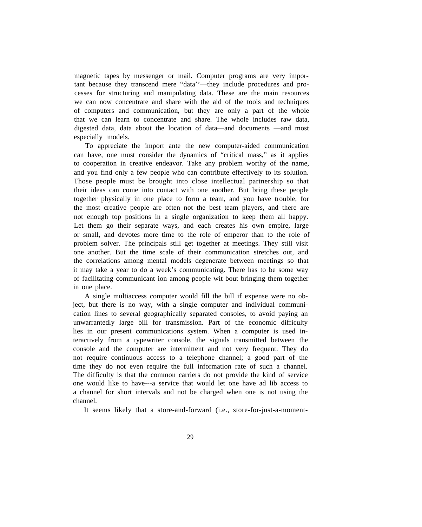magnetic tapes by messenger or mail. Computer programs are very important because they transcend mere "data''—they include procedures and processes for structuring and manipulating data. These are the main resources we can now concentrate and share with the aid of the tools and techniques of computers and communication, but they are only a part of the whole that we can learn to concentrate and share. The whole includes raw data, digested data, data about the location of data—and documents —and most especially models.

To appreciate the import ante the new computer-aided communication can have, one must consider the dynamics of "critical mass," as it applies to cooperation in creative endeavor. Take any problem worthy of the name, and you find only a few people who can contribute effectively to its solution. Those people must be brought into close intellectual partnership so that their ideas can come into contact with one another. But bring these people together physically in one place to form a team, and you have trouble, for the most creative people are often not the best team players, and there are not enough top positions in a single organization to keep them all happy. Let them go their separate ways, and each creates his own empire, large or small, and devotes more time to the role of emperor than to the role of problem solver. The principals still get together at meetings. They still visit one another. But the time scale of their communication stretches out, and the correlations among mental models degenerate between meetings so that it may take a year to do a week's communicating. There has to be some way of facilitating communicant ion among people wit bout bringing them together in one place.

A single multiaccess computer would fill the bill if expense were no object, but there is no way, with a single computer and individual communication lines to several geographically separated consoles, to avoid paying an unwarrantedly large bill for transmission. Part of the economic difficulty lies in our present communications system. When a computer is used interactively from a typewriter console, the signals transmitted between the console and the computer are intermittent and not very frequent. They do not require continuous access to a telephone channel; a good part of the time they do not even require the full information rate of such a channel. The difficulty is that the common carriers do not provide the kind of service one would like to have---a service that would let one have ad lib access to a channel for short intervals and not be charged when one is not using the channel.

It seems likely that a store-and-forward (i.e., store-for-just-a-moment-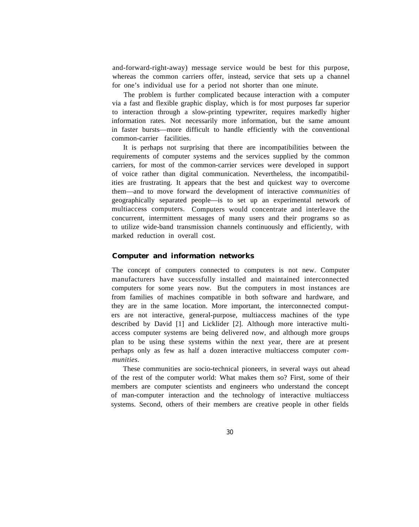and-forward-right-away) message service would be best for this purpose, whereas the common carriers offer, instead, service that sets up a channel for one's individual use for a period not shorter than one minute.

The problem is further complicated because interaction with a computer via a fast and flexible graphic display, which is for most purposes far superior to interaction through a slow-printing typewriter, requires markedly higher information rates. Not necessarily more information, but the same amount in faster bursts—more difficult to handle efficiently with the conventional common-carrier facilities.

It is perhaps not surprising that there are incompatibilities between the requirements of computer systems and the services supplied by the common carriers, for most of the common-carrier services were developed in support of voice rather than digital communication. Nevertheless, the incompatibilities are frustrating. It appears that the best and quickest way to overcome them—and to move forward the development of interactive *communities* of geographically separated people—is to set up an experimental network of multiaccess computers. Computers would concentrate and interleave the concurrent, intermittent messages of many users and their programs so as to utilize wide-band transmission channels continuously and efficiently, with marked reduction in overall cost.

#### **Computer and information networks**

The concept of computers connected to computers is not new. Computer manufacturers have successfully installed and maintained interconnected computers for some years now. But the computers in most instances are from families of machines compatible in both software and hardware, and they are in the same location. More important, the interconnected computers are not interactive, general-purpose, multiaccess machines of the type described by David [1] and Licklider [2]. Although more interactive multiaccess computer systems are being delivered now, and although more groups plan to be using these systems within the next year, there are at present perhaps only as few as half a dozen interactive multiaccess computer *communities.*

These communities are socio-technical pioneers, in several ways out ahead of the rest of the computer world: What makes them so? First, some of their members are computer scientists and engineers who understand the concept of man-computer interaction and the technology of interactive multiaccess systems. Second, others of their members are creative people in other fields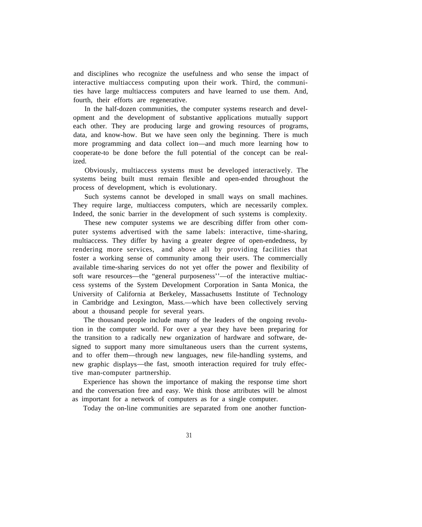and disciplines who recognize the usefulness and who sense the impact of interactive multiaccess computing upon their work. Third, the communities have large multiaccess computers and have learned to use them. And, fourth, their efforts are regenerative.

In the half-dozen communities, the computer systems research and development and the development of substantive applications mutually support each other. They are producing large and growing resources of programs, data, and know-how. But we have seen only the beginning. There is much more programming and data collect ion—and much more learning how to cooperate-to be done before the full potential of the concept can be realized.

Obviously, multiaccess systems must be developed interactively. The systems being built must remain flexible and open-ended throughout the process of development, which is evolutionary.

Such systems cannot be developed in small ways on small machines. They require large, multiaccess computers, which are necessarily complex. Indeed, the sonic barrier in the development of such systems is complexity.

These new computer systems we are describing differ from other computer systems advertised with the same labels: interactive, time-sharing, multiaccess. They differ by having a greater degree of open-endedness, by rendering more services, and above all by providing facilities that foster a working sense of community among their users. The commercially available time-sharing services do not yet offer the power and flexibility of soft ware resources—the "general purposeness''—of the interactive multiaccess systems of the System Development Corporation in Santa Monica, the University of California at Berkeley, Massachusetts Institute of Technology in Cambridge and Lexington, Mass.—which have been collectively serving about a thousand people for several years.

The thousand people include many of the leaders of the ongoing revolution in the computer world. For over a year they have been preparing for the transition to a radically new organization of hardware and software, designed to support many more simultaneous users than the current systems, and to offer them—through new languages, new file-handling systems, and new graphic displays—the fast, smooth interaction required for truly effective man-computer partnership.

Experience has shown the importance of making the response time short and the conversation free and easy. We think those attributes will be almost as important for a network of computers as for a single computer.

Today the on-line communities are separated from one another function-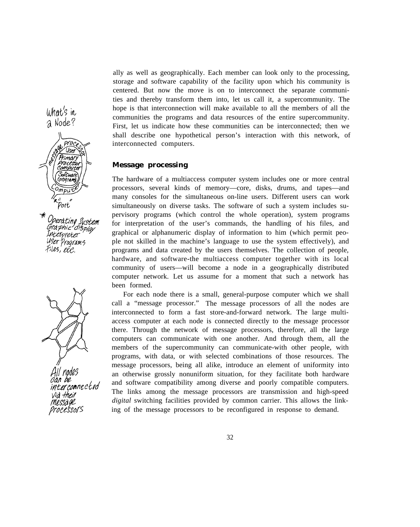ally as well as geographically. Each member can look only to the processing, storage and software capability of the facility upon which his community is centered. But now the move is on to interconnect the separate communities and thereby transform them into, let us call it, a supercommunity. The hope is that interconnection will make available to all the members of all the communities the programs and data resources of the entire supercommunity. First, let us indicate how these communities can be interconnected; then we shall describe one hypothetical person's interaction with this network, of interconnected computers.

#### **Message processing**

The hardware of a multiaccess computer system includes one or more central processors, several kinds of memory—core, disks, drums, and tapes—and many consoles for the simultaneous on-line users. Different users can work simultaneously on diverse tasks. The software of such a system includes supervisory programs (which control the whole operation), system programs for interpretation of the user's commands, the handling of his files, and graphical or alphanumeric display of information to him (which permit people not skilled in the machine's language to use the system effectively), and programs and data created by the users themselves. The collection of people, hardware, and software-the multiaccess computer together with its local community of users—will become a node in a geographically distributed computer network. Let us assume for a moment that such a network has been formed.

For each node there is a small, general-purpose computer which we shall call a "message processor." The message processors of all the nodes are interconnected to form a fast store-and-forward network. The large multiaccess computer at each node is connected directly to the message processor there. Through the network of message processors, therefore, all the large computers can communicate with one another. And through them, all the members of the supercommunity can communicate-with other people, with programs, with data, or with selected combinations of those resources. The message processors, being all alike, introduce an element of uniformity into an otherwise grossly nonuniform situation, for they facilitate both hardware and software compatibility among diverse and poorly compatible computers. The links among the message processors are transmission and high-speed *digital* switching facilities provided by common carrier. This allows the linking of the message processors to be reconfigured in response to demand.

a Node? en Proce **Primar** Processo<br>C<u>omput</u>e Software<br>(programs

 $o_{\bm{m}\bar{\bm{\nu}}\bar{\bm{\nu}}}$ 

What's in

)<br>Perating System<br>Pra*phic display* Interpreter User Programs Files, etc.

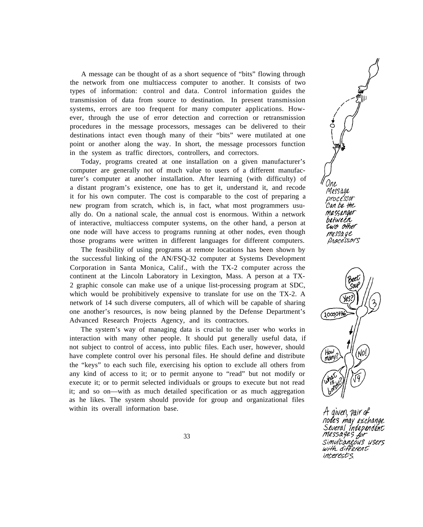A message can be thought of as a short sequence of "bits" flowing through the network from one multiaccess computer to another. It consists of two types of information: control and data. Control information guides the transmission of data from source to destination. In present transmission systems, errors are too frequent for many computer applications. However, through the use of error detection and correction or retransmission procedures in the message processors, messages can be delivered to their destinations intact even though many of their "bits" were mutilated at one point or another along the way. In short, the message processors function in the system as traffic directors, controllers, and correctors.

Today, programs created at one installation on a given manufacturer's computer are generally not of much value to users of a different manufacturer's computer at another installation. After learning (with difficulty) of a distant program's existence, one has to get it, understand it, and recode it for his own computer. The cost is comparable to the cost of preparing a new program from scratch, which is, in fact, what most programmers usually do. On a national scale, the annual cost is enormous. Within a network of interactive, multiaccess computer systems, on the other hand, a person at one node will have access to programs running at other nodes, even though those programs were written in different languages for different computers.

The feasibility of using programs at remote locations has been shown by the successful linking of the AN/FSQ-32 computer at Systems Development Corporation in Santa Monica, Calif., with the TX-2 computer across the continent at the Lincoln Laboratory in Lexington, Mass. A person at a TX-2 graphic console can make use of a unique list-processing program at SDC, which would be prohibitively expensive to translate for use on the TX-2. A network of 14 such diverse computers, all of which will be capable of sharing one another's resources, is now being planned by the Defense Department's Advanced Research Projects Agency, and its contractors.

The system's way of managing data is crucial to the user who works in interaction with many other people. It should put generally useful data, if not subject to control of access, into public files. Each user, however, should have complete control over his personal files. He should define and distribute the "keys" to each such file, exercising his option to exclude all others from any kind of access to it; or to permit anyone to "read" but not modify or execute it; or to permit selected individuals or groups to execute but not read it; and so on—with as much detailed specification or as much aggregation as he likes. The system should provide for group and organizational files within its overall information base.





A given, pair of nodes may exchange Several independent messages for Simultaneous users with different interests.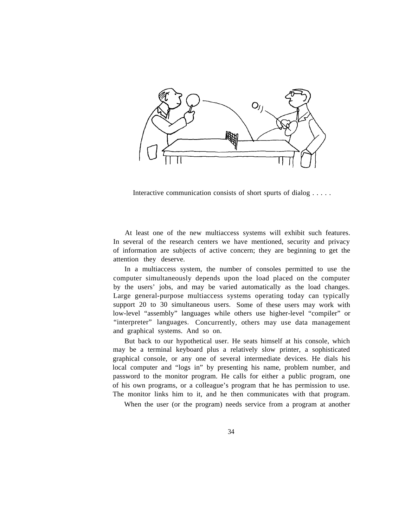

Interactive communication consists of short spurts of dialog . . . . .

At least one of the new multiaccess systems will exhibit such features. In several of the research centers we have mentioned, security and privacy of information are subjects of active concern; they are beginning to get the attention they deserve.

In a multiaccess system, the number of consoles permitted to use the computer simultaneously depends upon the load placed on the computer by the users' jobs, and may be varied automatically as the load changes. Large general-purpose multiaccess systems operating today can typically support 20 to 30 simultaneous users. Some of these users may work with low-level "assembly" languages while others use higher-level "compiler" or "interpreter" languages. Concurrently, others may use data management and graphical systems. And so on.

But back to our hypothetical user. He seats himself at his console, which may be a terminal keyboard plus a relatively slow printer, a sophisticated graphical console, or any one of several intermediate devices. He dials his local computer and "logs in" by presenting his name, problem number, and password to the monitor program. He calls for either a public program, one of his own programs, or a colleague's program that he has permission to use. The monitor links him to it, and he then communicates with that program.

When the user (or the program) needs service from a program at another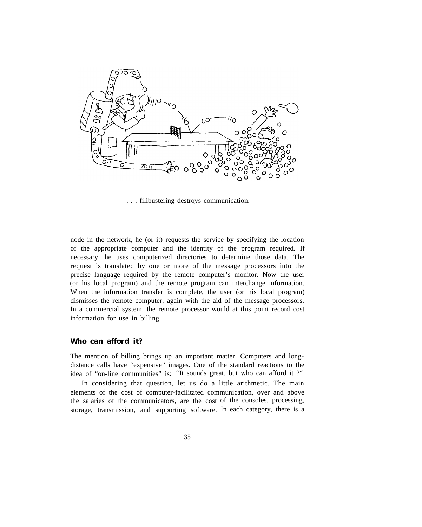

. . . filibustering destroys communication.

node in the network, he (or it) requests the service by specifying the location of the appropriate computer and the identity of the program required. If necessary, he uses computerized directories to determine those data. The request is translated by one or more of the message processors into the precise language required by the remote computer's monitor. Now the user (or his local program) and the remote program can interchange information. When the information transfer is complete, the user (or his local program) dismisses the remote computer, again with the aid of the message processors. In a commercial system, the remote processor would at this point record cost information for use in billing.

#### **Who can afford it?**

The mention of billing brings up an important matter. Computers and longdistance calls have "expensive" images. One of the standard reactions to the idea of "on-line communities" is: "It sounds great, but who can afford it ?"

In considering that question, let us do a little arithmetic. The main elements of the cost of computer-facilitated communication, over and above the salaries of the communicators, are the cost of the consoles, processing, storage, transmission, and supporting software. In each category, there is a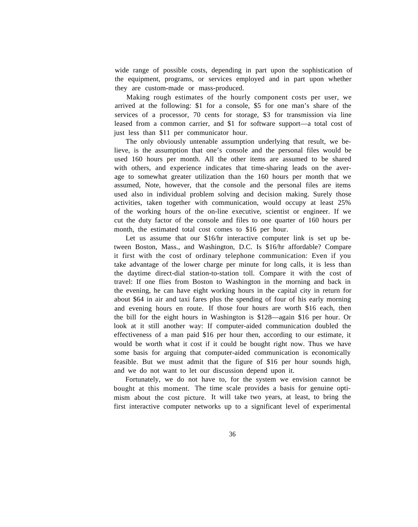wide range of possible costs, depending in part upon the sophistication of the equipment, programs, or services employed and in part upon whether they are custom-made or mass-produced.

Making rough estimates of the hourly component costs per user, we arrived at the following: \$1 for a console, \$5 for one man's share of the services of a processor, 70 cents for storage, \$3 for transmission via line leased from a common carrier, and \$1 for software support—a total cost of just less than \$11 per communicator hour.

The only obviously untenable assumption underlying that result, we believe, is the assumption that one's console and the personal files would be used 160 hours per month. All the other items are assumed to be shared with others, and experience indicates that time-sharing leads on the average to somewhat greater utilization than the 160 hours per month that we assumed, Note, however, that the console and the personal files are items used also in individual problem solving and decision making. Surely those activities, taken together with communication, would occupy at least 25% of the working hours of the on-line executive, scientist or engineer. If we cut the duty factor of the console and files to one quarter of 160 hours per month, the estimated total cost comes to \$16 per hour.

Let us assume that our \$16/hr interactive computer link is set up between Boston, Mass., and Washington, D.C. Is \$16/hr affordable? Compare it first with the cost of ordinary telephone communication: Even if you take advantage of the lower charge per minute for long calls, it is less than the daytime direct-dial station-to-station toll. Compare it with the cost of travel: If one flies from Boston to Washington in the morning and back in the evening, he can have eight working hours in the capital city in return for about \$64 in air and taxi fares plus the spending of four of his early morning and evening hours en route. If those four hours are worth \$16 each, then the bill for the eight hours in Washington is \$128—again \$16 per hour. Or look at it still another way: If computer-aided communication doubled the effectiveness of a man paid \$16 per hour then, according to our estimate, it would be worth what it cost if it could be bought right now. Thus we have some basis for arguing that computer-aided communication is economically feasible. But we must admit that the figure of \$16 per hour sounds high, and we do not want to let our discussion depend upon it.

Fortunately, we do not have to, for the system we envision cannot be bought at this moment. The time scale provides a basis for genuine optimism about the cost picture. It will take two years, at least, to bring the first interactive computer networks up to a significant level of experimental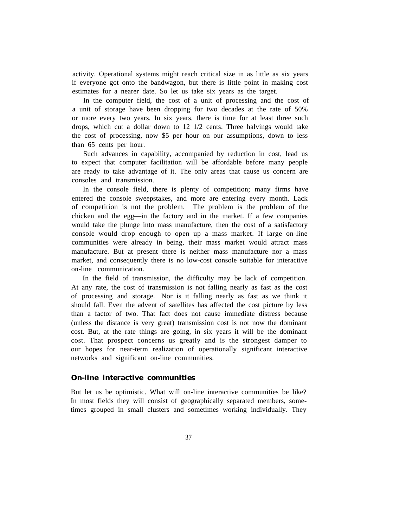activity. Operational systems might reach critical size in as little as six years if everyone got onto the bandwagon, but there is little point in making cost estimates for a nearer date. So let us take six years as the target.

In the computer field, the cost of a unit of processing and the cost of a unit of storage have been dropping for two decades at the rate of 50% or more every two years. In six years, there is time for at least three such drops, which cut a dollar down to 12 1/2 cents. Three halvings would take the cost of processing, now \$5 per hour on our assumptions, down to less than 65 cents per hour.

Such advances in capability, accompanied by reduction in cost, lead us to expect that computer facilitation will be affordable before many people are ready to take advantage of it. The only areas that cause us concern are consoles and transmission.

In the console field, there is plenty of competition; many firms have entered the console sweepstakes, and more are entering every month. Lack of competition is not the problem. The problem is the problem of the chicken and the egg—in the factory and in the market. If a few companies would take the plunge into mass manufacture, then the cost of a satisfactory console would drop enough to open up a mass market. If large on-line communities were already in being, their mass market would attract mass manufacture. But at present there is neither mass manufacture nor a mass market, and consequently there is no low-cost console suitable for interactive on-line communication.

In the field of transmission, the difficulty may be lack of competition. At any rate, the cost of transmission is not falling nearly as fast as the cost of processing and storage. Nor is it falling nearly as fast as we think it should fall. Even the advent of satellites has affected the cost picture by less than a factor of two. That fact does not cause immediate distress because (unless the distance is very great) transmission cost is not now the dominant cost. But, at the rate things are going, in six years it will be the dominant cost. That prospect concerns us greatly and is the strongest damper to our hopes for near-term realization of operationally significant interactive networks and significant on-line communities.

#### **On-line interactive communities**

But let us be optimistic. What will on-line interactive communities be like? In most fields they will consist of geographically separated members, sometimes grouped in small clusters and sometimes working individually. They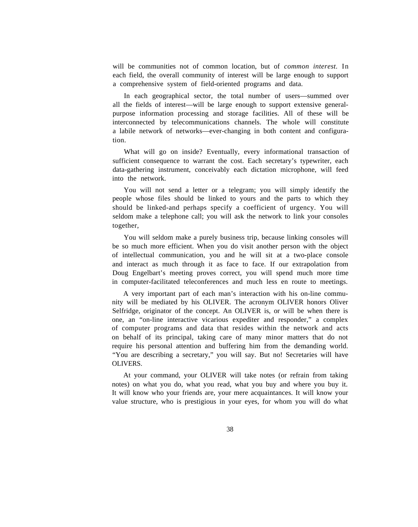will be communities not of common location, but of *common interest.* In each field, the overall community of interest will be large enough to support a comprehensive system of field-oriented programs and data.

In each geographical sector, the total number of users—summed over all the fields of interest—will be large enough to support extensive generalpurpose information processing and storage facilities. All of these will be interconnected by telecommunications channels. The whole will constitute a labile network of networks—ever-changing in both content and configuration.

What will go on inside? Eventually, every informational transaction of sufficient consequence to warrant the cost. Each secretary's typewriter, each data-gathering instrument, conceivably each dictation microphone, will feed into the network.

You will not send a letter or a telegram; you will simply identify the people whose files should be linked to yours and the parts to which they should be linked-and perhaps specify a coefficient of urgency. You will seldom make a telephone call; you will ask the network to link your consoles together,

You will seldom make a purely business trip, because linking consoles will be so much more efficient. When you do visit another person with the object of intellectual communication, you and he will sit at a two-place console and interact as much through it as face to face. If our extrapolation from Doug Engelbart's meeting proves correct, you will spend much more time in computer-facilitated teleconferences and much less en route to meetings.

A very important part of each man's interaction with his on-line community will be mediated by his OLIVER. The acronym OLIVER honors Oliver Selfridge, originator of the concept. An OLIVER is, or will be when there is one, an "on-line interactive vicarious expediter and responder," a complex of computer programs and data that resides within the network and acts on behalf of its principal, taking care of many minor matters that do not require his personal attention and buffering him from the demanding world. "You are describing a secretary," you will say. But no! Secretaries will have OLIVERS.

At your command, your OLIVER will take notes (or refrain from taking notes) on what you do, what you read, what you buy and where you buy it. It will know who your friends are, your mere acquaintances. It will know your value structure, who is prestigious in your eyes, for whom you will do what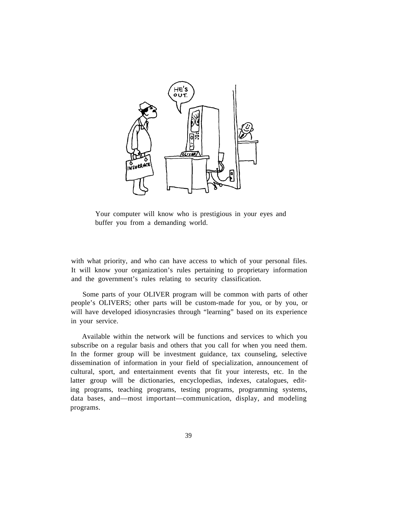

Your computer will know who is prestigious in your eyes and buffer you from a demanding world.

with what priority, and who can have access to which of your personal files. It will know your organization's rules pertaining to proprietary information and the government's rules relating to security classification.

Some parts of your OLIVER program will be common with parts of other people's OLIVERS; other parts will be custom-made for you, or by you, or will have developed idiosyncrasies through "learning" based on its experience in your service.

Available within the network will be functions and services to which you subscribe on a regular basis and others that you call for when you need them. In the former group will be investment guidance, tax counseling, selective dissemination of information in your field of specialization, announcement of cultural, sport, and entertainment events that fit your interests, etc. In the latter group will be dictionaries, encyclopedias, indexes, catalogues, editing programs, teaching programs, testing programs, programming systems, data bases, and—most important—communication, display, and modeling programs.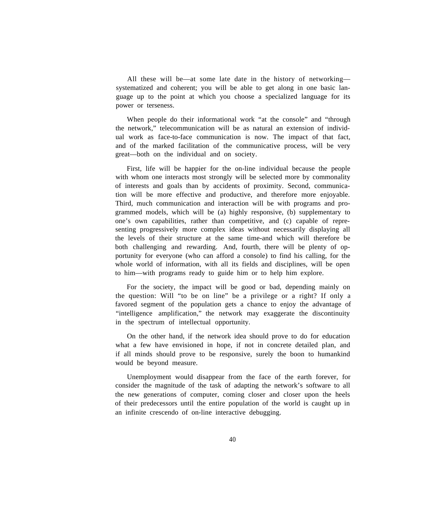All these will be—at some late date in the history of networking systematized and coherent; you will be able to get along in one basic language up to the point at which you choose a specialized language for its power or terseness.

When people do their informational work "at the console" and "through the network," telecommunication will be as natural an extension of individual work as face-to-face communication is now. The impact of that fact, and of the marked facilitation of the communicative process, will be very great—both on the individual and on society.

First, life will be happier for the on-line individual because the people with whom one interacts most strongly will be selected more by commonality of interests and goals than by accidents of proximity. Second, communication will be more effective and productive, and therefore more enjoyable. Third, much communication and interaction will be with programs and programmed models, which will be (a) highly responsive, (b) supplementary to one's own capabilities, rather than competitive, and (c) capable of representing progressively more complex ideas without necessarily displaying all the levels of their structure at the same time-and which will therefore be both challenging and rewarding. And, fourth, there will be plenty of opportunity for everyone (who can afford a console) to find his calling, for the whole world of information, with all its fields and disciplines, will be open to him—with programs ready to guide him or to help him explore.

For the society, the impact will be good or bad, depending mainly on the question: Will "to be on line" be a privilege or a right? If only a favored segment of the population gets a chance to enjoy the advantage of "intelligence amplification," the network may exaggerate the discontinuity in the spectrum of intellectual opportunity.

On the other hand, if the network idea should prove to do for education what a few have envisioned in hope, if not in concrete detailed plan, and if all minds should prove to be responsive, surely the boon to humankind would be beyond measure.

Unemployment would disappear from the face of the earth forever, for consider the magnitude of the task of adapting the network's software to all the new generations of computer, coming closer and closer upon the heels of their predecessors until the entire population of the world is caught up in an infinite crescendo of on-line interactive debugging.